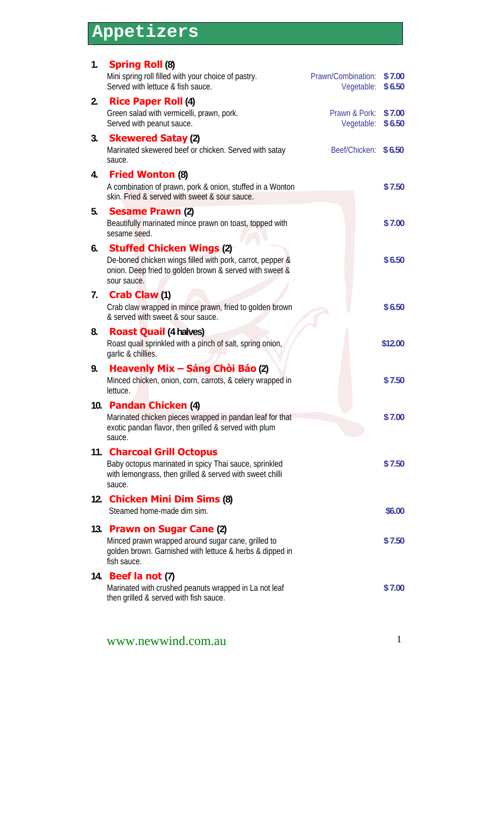# **Appetizers**

| 1.  | <b>Spring Roll (8)</b><br>Mini spring roll filled with your choice of pastry.<br>Served with lettuce & fish sauce.                                                      | Prawn/Combination:<br>Vegetable: | \$7.00<br>\$6.50 |
|-----|-------------------------------------------------------------------------------------------------------------------------------------------------------------------------|----------------------------------|------------------|
| 2.  | <b>Rice Paper Roll (4)</b>                                                                                                                                              |                                  |                  |
|     | Green salad with vermicelli, prawn, pork.<br>Served with peanut sauce.                                                                                                  | Prawn & Pork:<br>Vegetable:      | \$7.00<br>\$6.50 |
| 3.  | <b>Skewered Satay (2)</b><br>Marinated skewered beef or chicken. Served with satay<br>sauce.                                                                            | Beef/Chicken: \$6.50             |                  |
| 4.  | <b>Fried Wonton (8)</b><br>A combination of prawn, pork & onion, stuffed in a Wonton<br>skin. Fried & served with sweet & sour sauce.                                   |                                  | \$7.50           |
| 5.  | <b>Sesame Prawn (2)</b><br>Beautifully marinated mince prawn on toast, topped with<br>sesame seed.                                                                      |                                  | \$7.00           |
| 6.  | <b>Stuffed Chicken Wings (2)</b><br>De-boned chicken wings filled with pork, carrot, pepper &<br>onion. Deep fried to golden brown & served with sweet &<br>sour sauce. |                                  | \$6.50           |
| 7.  | <b>Crab Claw (1)</b><br>Crab claw wrapped in mince prawn, fried to golden brown<br>& served with sweet & sour sauce.                                                    |                                  | \$6.50           |
| 8.  | <b>Roast Quail (4 halves)</b><br>Roast quail sprinkled with a pinch of salt, spring onion,<br>garlic & chillies.                                                        |                                  | \$12.00          |
| 9.  | <b>Heavenly Mix – Sáng Chòi Báo (2)</b><br>Minced chicken, onion, corn, carrots, & celery wrapped in<br>lettuce.                                                        |                                  | \$7.50           |
|     | 10. Pandan Chicken (4)<br>Marinated chicken pieces wrapped in pandan leaf for that<br>exotic pandan flavor, then grilled & served with plum<br>sauce.                   |                                  | \$7.00           |
| 11. | <b>Charcoal Grill Octopus</b><br>Baby octopus marinated in spicy Thai sauce, sprinkled<br>with lemongrass, then grilled & served with sweet chilli<br>sauce.            |                                  | \$7.50           |
| 12. | <b>Chicken Mini Dim Sims (8)</b><br>Steamed home-made dim sim.                                                                                                          |                                  | \$6.00           |
|     | 13. Prawn on Sugar Cane (2)<br>Minced prawn wrapped around sugar cane, grilled to<br>golden brown. Garnished with lettuce & herbs & dipped in<br>fish sauce.            |                                  | \$7.50           |
|     | 14. <b>Beef la not</b> (7)<br>Marinated with crushed peanuts wrapped in La not leaf<br>then grilled & served with fish sauce.                                           |                                  | \$7.00           |
|     | www.newwind.com.au                                                                                                                                                      |                                  | 1                |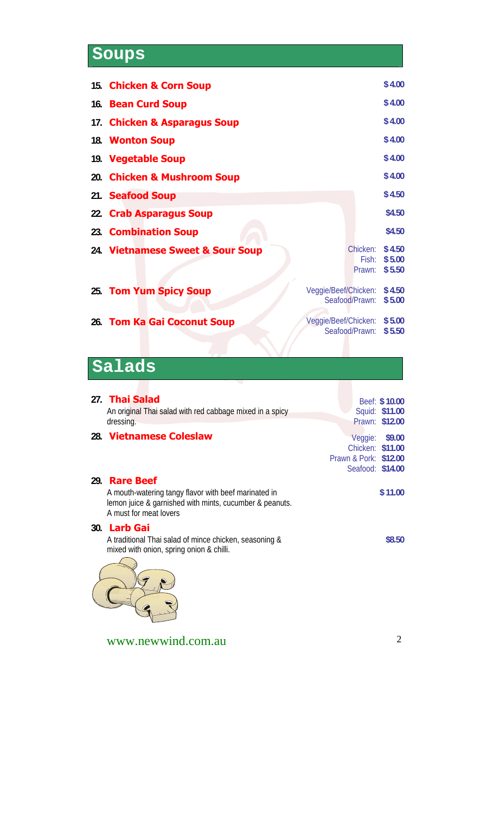# **Soups**

| 15. Chicken & Corn Soup          |                                        | \$4.00                     |
|----------------------------------|----------------------------------------|----------------------------|
| 16. Bean Curd Soup               |                                        | \$4.00                     |
| 17. Chicken & Asparagus Soup     |                                        | \$4.00                     |
| 18. Wonton Soup                  |                                        | \$4.00                     |
| 19. Vegetable Soup               |                                        | \$4.00                     |
| 20. Chicken & Mushroom Soup      |                                        | \$4.00                     |
| 21. Seafood Soup                 |                                        | \$4.50                     |
| 22. Crab Asparagus Soup          |                                        | \$4.50                     |
| 23. Combination Soup             |                                        | \$4.50                     |
| 24. Vietnamese Sweet & Sour Soup | Chicken:<br>Fish:<br>Prawn:            | \$4.50<br>\$5.00<br>\$5.50 |
| 25. Tom Yum Spicy Soup           | Veggie/Beef/Chicken:<br>Seafood/Prawn: | \$4.50<br>\$5.00           |
| 26. Tom Ka Gai Coconut Soup      | Veggie/Beef/Chicken:<br>Seafood/Prawn: | \$5.00<br>\$5.50           |

## **Salads**

| 27. Thai Salad<br>An original Thai salad with red cabbage mixed in a spicy<br>dressing.                                                                           | Beef: \$10.00<br>Squid: \$11.00<br>Prawn: \$12.00                                  |
|-------------------------------------------------------------------------------------------------------------------------------------------------------------------|------------------------------------------------------------------------------------|
| 28. Vietnamese Coleslaw                                                                                                                                           | Veggie:<br>\$9.00<br>Chicken: \$11.00<br>Prawn & Pork: \$12.00<br>Seafood: \$14.00 |
| 29. <b>Rare Beef</b><br>A mouth-watering tangy flavor with beef marinated in<br>lemon juice & garnished with mints, cucumber & peanuts.<br>A must for meat lovers | \$11.00                                                                            |
| 30. Larb Gai<br>A traditional Thai salad of mince chicken, seasoning &<br>mixed with onion, spring onion & chilli.                                                | \$8.50                                                                             |
|                                                                                                                                                                   |                                                                                    |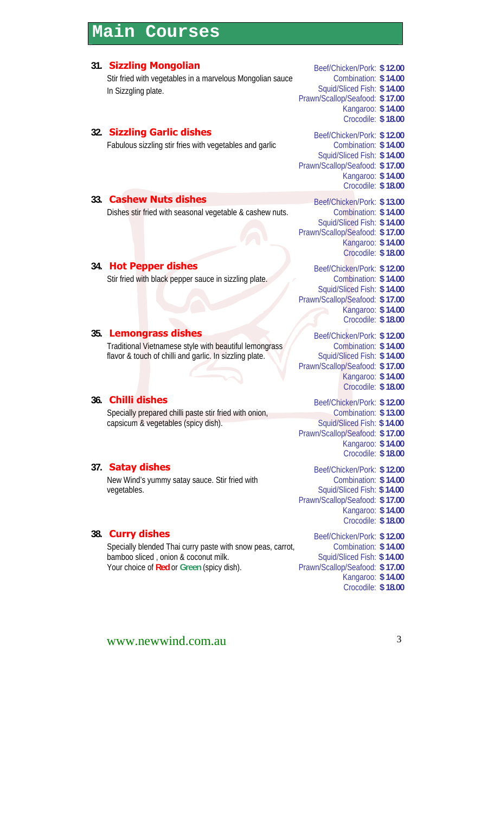### **Main Courses**

#### **31. Sizzling Mongolian** Beef/Chicken/Pork: \$12.00 Stir fried with vegetables in a marvelous Mongolian sauce In Sizzgling plate. Combination: **\$ 14.00** Squid/Sliced Fish: **\$ 14.00** Prawn/Scallop/Seafood: **\$ 17.00** Kangaroo: **\$ 14.00** Crocodile: **\$ 18.00 32. Sizzling Garlic dishes** Beef/Chicken/Pork: \$12.00 Fabulous sizzling stir fries with vegetables and garlic Squid/Sliced Fish: **\$ 14.00** Prawn/Scallop/Seafood: **\$ 17.00** Kangaroo: **\$ 14.00** Crocodile: **\$ 18.00 \$ 14.00 33. Cashew Nuts dishes** Beef/Chicken/Pork: \$13.00 Dishes stir fried with seasonal vegetable & cashew nuts. Squid/Sliced Fish: **\$ 14.00** Prawn/Scallop/Seafood: **\$ 17.00** Kangaroo: **\$ 14.00** Crocodile: **\$ 18.00 \$ 14.00 34. Hot Pepper dishes** Beef/Chicken/Pork: \$12.00 Stir fried with black pepper sauce in sizzling plate. Squid/Sliced Fish: **\$ 14.00** Prawn/Scallop/Seafood: **\$ 17.00** Kangaroo: **\$ 14.00** Crocodile: **\$ 18.00 \$ 14.00 35. Lemongrass dishes** Beef/Chicken/Pork: \$12.00 Traditional Vietnamese style with beautiful lemongrass flavor & touch of chilli and garlic. In sizzling plate. Combination: **\$ 14.00** Squid/Sliced Fish: **\$ 14.00** Prawn/Scallop/Seafood: **\$ 17.00** Kangaroo: **\$ 14.00** Crocodile: **\$ 18.00 36. Chilli dishes** Beef/Chicken/Pork: \$12.00 Specially prepared chilli paste stir fried with onion, capsicum & vegetables (spicy dish). Combination: **\$ 13.00** Squid/Sliced Fish: **\$ 14.00** Prawn/Scallop/Seafood: **\$ 17.00** Kangaroo: **\$ 14.00** Crocodile: **\$ 18.00 37. Satay dishes** Beef/Chicken/Pork: \$12.00

New Wind's yummy satay sauce. Stir fried with vegetables.

### **38. Curry dishes** Beef/Chicken/Pork: \$12.00

Specially blended Thai curry paste with snow peas, carrot, bamboo sliced , onion & coconut milk. Your choice of **Red** or **Green** (spicy dish).

### Combination: **\$ 14.00** Squid/Sliced Fish: **\$ 14.00** Prawn/Scallop/Seafood: **\$ 17.00** Kangaroo: **\$ 14.00** Crocodile: **\$ 18.00**

Combination: **\$ 14.00** Squid/Sliced Fish: **\$ 14.00** Prawn/Scallop/Seafood: **\$ 17.00** Kangaroo: **\$ 14.00** Crocodile: **\$ 18.00**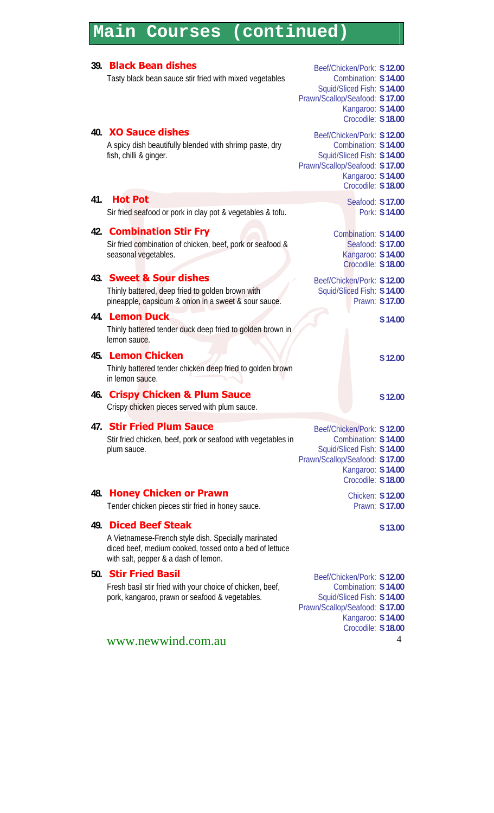### **Main Courses (continued)**

#### www.newwind.com.au 4 **39. Black Bean dishes** Beef/Chicken/Pork: \$12.00 Tasty black bean sauce stir fried with mixed vegetables Squid/Sliced Fish: **\$ 14.00** Prawn/Scallop/Seafood: **\$ 17.00** Kangaroo: **\$ 14.00** Crocodile: **\$ 18.00 \$ 14.00 40. XO Sauce dishes** Beef/Chicken/Pork: \$12.00 A spicy dish beautifully blended with shrimp paste, dry fish, chilli & ginger. Combination: **\$ 14.00** Squid/Sliced Fish: **\$ 14.00** Prawn/Scallop/Seafood: **\$ 17.00** Kangaroo: **\$ 14.00** Crocodile: **\$ 18.00 41. Hot Pot** Seafood: \$ 17.00 Sir fried seafood or pork in clay pot & vegetables & tofu. Pork: \$14.00 **42. Combination Stir Fry** Combination: \$14.00 Sir fried combination of chicken, beef, pork or seafood & seasonal vegetables. Seafood: **\$ 17.00** Kangaroo: **\$ 14.00** Crocodile: **\$ 18.00 43. Sweet & Sour dishes** Beef/Chicken/Pork: \$12.00 Thinly battered, deep fried to golden brown with pineapple, capsicum & onion in a sweet & sour sauce. Squid/Sliced Fish: **\$ 14.00** Prawn: **\$ 17.00 44. Lemon Duck \$ 14.00** Thinly battered tender duck deep fried to golden brown in lemon sauce. **45. Lemon Chicken \$ 12.00** Thinly battered tender chicken deep fried to golden brown in lemon sauce. **46. Crispy Chicken & Plum Sauce <b>\$ 12.00** \$ 12.00 Crispy chicken pieces served with plum sauce. **47. Stir Fried Plum Sauce** Beef/Chicken/Pork: \$ 12.00 Stir fried chicken, beef, pork or seafood with vegetables in plum sauce. Combination: **\$ 14.00** Squid/Sliced Fish: **\$ 14.00** Prawn/Scallop/Seafood: **\$ 17.00** Kangaroo: **\$ 14.00** Crocodile: **\$ 18.00 48. Honey Chicken or Prawn** Chicken: \$12.00 Tender chicken pieces stir fried in honey sauce. Prawn: \$ 17.00 **49. Diced Beef Steak \$13.00** A Vietnamese-French style dish. Specially marinated diced beef, medium cooked, tossed onto a bed of lettuce with salt, pepper & a dash of lemon. **50. Stir Fried Basil** Beef/Chicken/Pork: \$12.00 Fresh basil stir fried with your choice of chicken, beef, pork, kangaroo, prawn or seafood & vegetables. Combination: **\$ 14.00** Squid/Sliced Fish: **\$ 14.00** Prawn/Scallop/Seafood: **\$ 17.00** Kangaroo: **\$ 14.00** Crocodile: **\$ 18.00**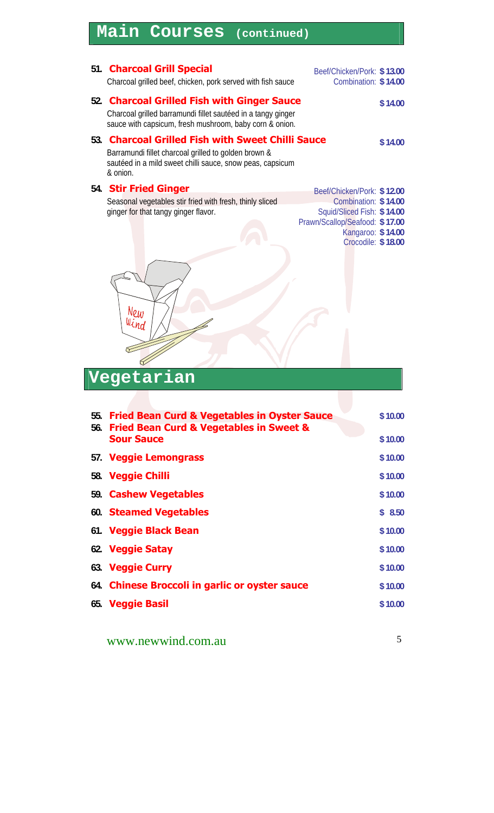# **Main Courses (continued)**

|     | 51. Charcoal Grill Special<br>Charcoal grilled beef, chicken, pork served with fish sauce                                                                                             | Beef/Chicken/Pork: \$13.00<br>Combination: \$14.00                        |
|-----|---------------------------------------------------------------------------------------------------------------------------------------------------------------------------------------|---------------------------------------------------------------------------|
|     |                                                                                                                                                                                       |                                                                           |
|     | 52. Charcoal Grilled Fish with Ginger Sauce<br>Charcoal grilled barramundi fillet sautéed in a tangy ginger<br>sauce with capsicum, fresh mushroom, baby corn & onion.                | \$14.00                                                                   |
| 53. | <b>Charcoal Grilled Fish with Sweet Chilli Sauce</b><br>Barramundi fillet charcoal grilled to golden brown &<br>sautéed in a mild sweet chilli sauce, snow peas, capsicum<br>& onion. | \$14.00                                                                   |
|     | 54. Stir Fried Ginger                                                                                                                                                                 | Beef/Chicken/Pork: \$12.00                                                |
|     | Seasonal vegetables stir fried with fresh, thinly sliced                                                                                                                              | Combination: \$14.00                                                      |
|     | ginger for that tangy ginger flavor.                                                                                                                                                  | Squid/Sliced Fish: \$14.00                                                |
|     | New<br>Wind                                                                                                                                                                           | Prawn/Scallop/Seafood: \$17.00<br>Kangaroo: \$14.00<br>Crocodile: \$18.00 |
|     | Vegetarian                                                                                                                                                                            |                                                                           |

| 55. Fried Bean Curd & Vegetables in Oyster Sauce<br>56. Fried Bean Curd & Vegetables in Sweet & | \$10.00 |
|-------------------------------------------------------------------------------------------------|---------|
| <b>Sour Sauce</b>                                                                               | \$10.00 |
| 57. Veggie Lemongrass                                                                           | \$10.00 |
| 58. Veggie Chilli                                                                               | \$10.00 |
| 59. Cashew Vegetables                                                                           | \$10.00 |
| 60. Steamed Vegetables                                                                          | \$8.50  |
| 61. Veggie Black Bean                                                                           | \$10.00 |
| 62. Veggie Satay                                                                                | \$10.00 |
| 63. Veggie Curry                                                                                | \$10.00 |
| 64. Chinese Broccoli in garlic or oyster sauce                                                  | \$10.00 |
| 65. Veggie Basil                                                                                | \$10.00 |
|                                                                                                 |         |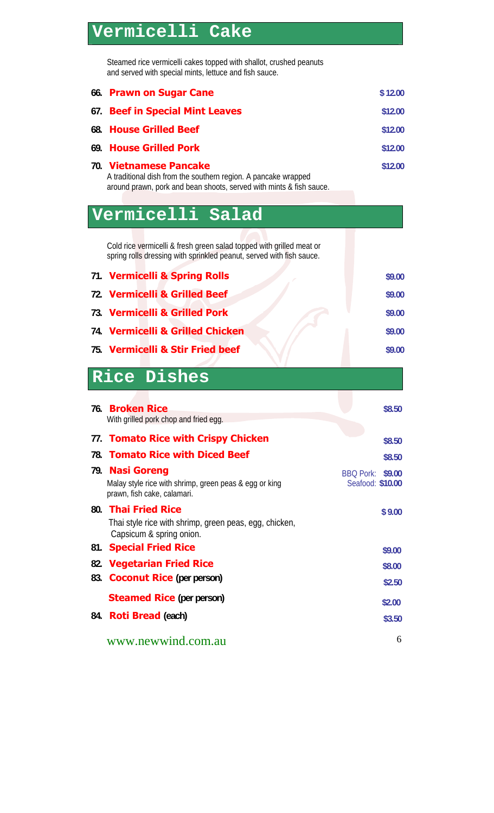# **Vermicelli Cake**

I

Steamed rice vermicelli cakes topped with shallot, crushed peanuts and served with special mints, lettuce and fish sauce.

| 66. | <b>Prawn on Sugar Cane</b>                                                                                                                                      | \$12.00                                        |
|-----|-----------------------------------------------------------------------------------------------------------------------------------------------------------------|------------------------------------------------|
| 67. | <b>Beef in Special Mint Leaves</b>                                                                                                                              | \$12.00                                        |
| 68. | <b>House Grilled Beef</b>                                                                                                                                       | \$12.00                                        |
| 69. | <b>House Grilled Pork</b>                                                                                                                                       | \$12.00                                        |
|     | 70. Vietnamese Pancake<br>A traditional dish from the southern region. A pancake wrapped<br>around prawn, pork and bean shoots, served with mints & fish sauce. | \$12.00                                        |
|     | Vermicelli Salad                                                                                                                                                |                                                |
|     | Cold rice vermicelli & fresh green salad topped with grilled meat or<br>spring rolls dressing with sprinkled peanut, served with fish sauce.                    |                                                |
|     | 71. Vermicelli & Spring Rolls                                                                                                                                   | \$9.00                                         |
|     | 72. Vermicelli & Grilled Beef                                                                                                                                   | \$9.00                                         |
|     | 73. Vermicelli & Grilled Pork                                                                                                                                   | \$9.00                                         |
|     | 74. Vermicelli & Grilled Chicken                                                                                                                                | \$9.00                                         |
|     | 75. Vermicelli & Stir Fried beef                                                                                                                                | \$9.00                                         |
|     |                                                                                                                                                                 |                                                |
|     |                                                                                                                                                                 |                                                |
|     | Rice Dishes                                                                                                                                                     |                                                |
|     | 76. Broken Rice                                                                                                                                                 | \$8.50                                         |
|     | With grilled pork chop and fried egg.                                                                                                                           |                                                |
|     | 77. Tomato Rice with Crispy Chicken                                                                                                                             | \$8.50                                         |
|     | 78. Tomato Rice with Diced Beef                                                                                                                                 | \$8.50                                         |
|     | 79. Nasi Goreng<br>Malay style rice with shrimp, green peas & egg or king<br>prawn, fish cake, calamari.                                                        | <b>BBQ Pork:</b><br>\$9.00<br>Seafood: \$10.00 |
|     | 80. Thai Fried Rice<br>Thai style rice with shrimp, green peas, egg, chicken,<br>Capsicum & spring onion.                                                       | \$9.00                                         |
| 81. | <b>Special Fried Rice</b>                                                                                                                                       | \$9.00                                         |
|     | 82. Vegetarian Fried Rice                                                                                                                                       | \$8.00                                         |
| 83. | <b>Coconut Rice</b> (per person)                                                                                                                                | \$2.50                                         |
|     | <b>Steamed Rice</b> (per person)                                                                                                                                | \$2.00                                         |
| 84. | <b>Roti Bread (each)</b>                                                                                                                                        | \$3.50                                         |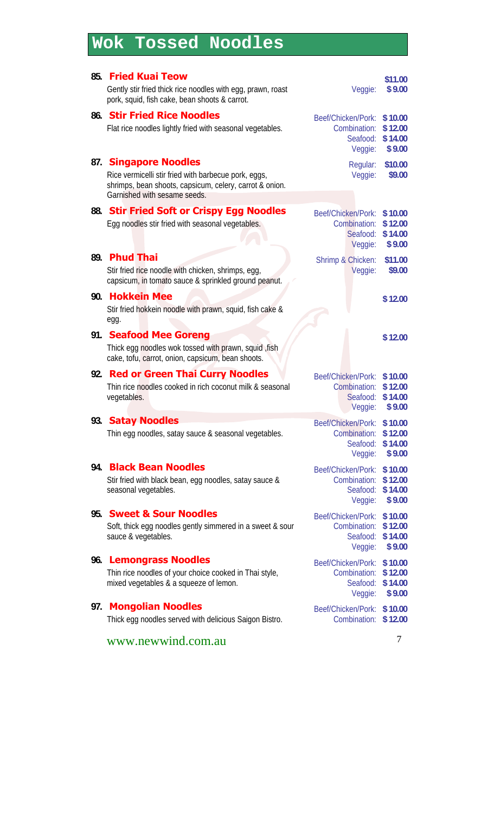# **Wok Tossed Noodles**

| 85. | <b>Fried Kuai Teow</b><br>Gently stir fried thick rice noodles with egg, prawn, roast<br>pork, squid, fish cake, bean shoots & carrot.                                      | Veggie:                                                   | \$11.00<br>\$9.00                       |
|-----|-----------------------------------------------------------------------------------------------------------------------------------------------------------------------------|-----------------------------------------------------------|-----------------------------------------|
|     | 86. Stir Fried Rice Noodles<br>Flat rice noodles lightly fried with seasonal vegetables.                                                                                    | Beef/Chicken/Pork:<br>Combination:<br>Seafood:<br>Veggie: | \$10.00<br>\$12.00<br>\$14.00<br>\$9.00 |
| 87. | <b>Singapore Noodles</b><br>Rice vermicelli stir fried with barbecue pork, eggs,<br>shrimps, bean shoots, capsicum, celery, carrot & onion.<br>Garnished with sesame seeds. | Regular:<br>Veggie:                                       | \$10.00<br>\$9.00                       |
|     | 88. Stir Fried Soft or Crispy Egg Noodles<br>Egg noodles stir fried with seasonal vegetables.                                                                               | Beef/Chicken/Pork:<br>Combination:<br>Seafood:<br>Veggie: | \$10.00<br>\$12.00<br>\$14.00<br>\$9.00 |
| 89. | <b>Phud Thai</b><br>Stir fried rice noodle with chicken, shrimps, egg,<br>capsicum, in tomato sauce & sprinkled ground peanut.                                              | Shrimp & Chicken:<br>Veggie:                              | \$11.00<br>\$9.00                       |
| 90. | <b>Hokkein Mee</b><br>Stir fried hokkein noodle with prawn, squid, fish cake &<br>egg.                                                                                      |                                                           | \$12.00                                 |
|     | 91. Seafood Mee Goreng<br>Thick egg noodles wok tossed with prawn, squid, fish<br>cake, tofu, carrot, onion, capsicum, bean shoots.                                         |                                                           | \$12.00                                 |
|     | 92. Red or Green Thai Curry Noodles<br>Thin rice noodles cooked in rich coconut milk & seasonal<br>vegetables.                                                              | Beef/Chicken/Pork:<br>Combination:<br>Seafood:<br>Veggie: | \$10.00<br>\$12.00<br>\$14.00<br>\$9.00 |
| 93. | <b>Satay Noodles</b><br>Thin egg noodles, satay sauce & seasonal vegetables.                                                                                                | Beef/Chicken/Pork:<br>Combination:<br>Seafood:<br>Veggie: | \$10.00<br>\$12.00<br>\$14.00<br>\$9.00 |
| 94. | <b>Black Bean Noodles</b><br>Stir fried with black bean, egg noodles, satay sauce &<br>seasonal vegetables.                                                                 | Beef/Chicken/Pork:<br>Combination:<br>Seafood:<br>Veggie: | \$10.00<br>\$12.00<br>\$14.00<br>\$9.00 |
| 95. | <b>Sweet &amp; Sour Noodles</b><br>Soft, thick egg noodles gently simmered in a sweet & sour<br>sauce & vegetables.                                                         | Beef/Chicken/Pork:<br>Combination:<br>Seafood:<br>Veggie: | \$10.00<br>\$12.00<br>\$14.00<br>\$9.00 |
| 96. | <b>Lemongrass Noodles</b><br>Thin rice noodles of your choice cooked in Thai style,<br>mixed vegetables & a squeeze of lemon.                                               | Beef/Chicken/Pork:<br>Combination:<br>Seafood:<br>Veggie: | \$10.00<br>\$12.00<br>\$14.00<br>\$9.00 |
| 97. | <b>Mongolian Noodles</b><br>Thick egg noodles served with delicious Saigon Bistro.                                                                                          | Beef/Chicken/Pork:<br>Combination:                        | \$10.00<br>\$12.00                      |
|     | www.newwind.com.au                                                                                                                                                          |                                                           | 7                                       |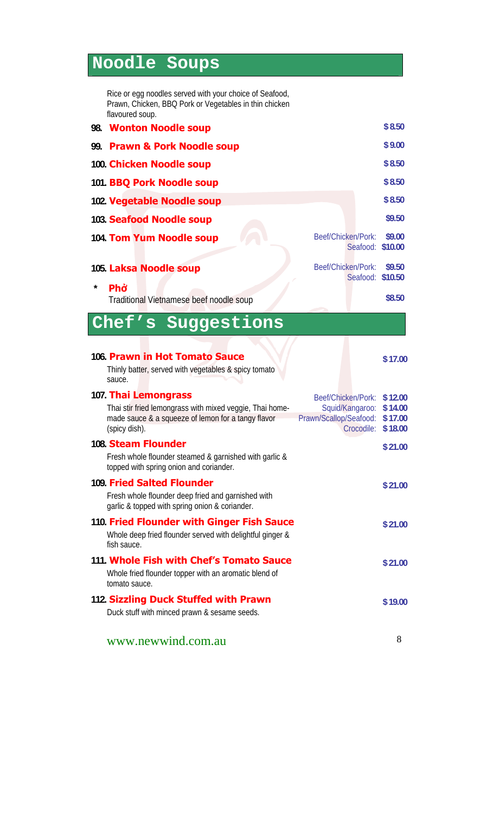# **Noodle Soups**

I

Rice or egg noodles served with your choice of Seafood, Prawn, Chicken, BBQ Pork or Vegetables in thin chicken flavoured soup.

|     | 98. Wonton Noodle soup                                                                                                                                                                                                                   | \$8.50                                   |
|-----|------------------------------------------------------------------------------------------------------------------------------------------------------------------------------------------------------------------------------------------|------------------------------------------|
| 99. | <b>Prawn &amp; Pork Noodle soup</b>                                                                                                                                                                                                      | \$9.00                                   |
|     | 100. Chicken Noodle soup                                                                                                                                                                                                                 | \$8.50                                   |
|     | 101. BBQ Pork Noodle soup                                                                                                                                                                                                                | \$8.50                                   |
|     | 102. Vegetable Noodle soup                                                                                                                                                                                                               | \$8.50                                   |
|     | 103. Seafood Noodle soup                                                                                                                                                                                                                 | \$9.50                                   |
|     | Beef/Chicken/Pork:<br>104. Tom Yum Noodle soup<br>Seafood: \$10.00                                                                                                                                                                       | \$9.00                                   |
| *   | Beef/Chicken/Pork:<br>105. Laksa Noodle soup<br>Seafood: \$10.50<br>Phở                                                                                                                                                                  | \$9.50                                   |
|     | Traditional Vietnamese beef noodle soup                                                                                                                                                                                                  | \$8.50                                   |
|     | Chef's Suggestions                                                                                                                                                                                                                       |                                          |
|     | 106. Prawn in Hot Tomato Sauce<br>Thinly batter, served with vegetables & spicy tomato<br>sauce.                                                                                                                                         | \$17.00                                  |
|     | 107. Thai Lemongrass<br>Beef/Chicken/Pork:<br>Thai stir fried lemongrass with mixed veggie, Thai home-<br>Squid/Kangaroo:<br>made sauce & a squeeze of lemon for a tangy flavor<br>Prawn/Scallop/Seafood:<br>(spicy dish).<br>Crocodile: | \$12.00<br>\$14.00<br>\$17.00<br>\$18.00 |
|     | 108. Steam Flounder                                                                                                                                                                                                                      | \$21.00                                  |
|     | Fresh whole flounder steamed & garnished with garlic &<br>topped with spring onion and coriander.                                                                                                                                        |                                          |
|     | 109. Fried Salted Flounder<br>Fresh whole flounder deep fried and garnished with<br>garlic & topped with spring onion & coriander.                                                                                                       | \$21.00                                  |
|     | 110. Fried Flounder with Ginger Fish Sauce<br>Whole deep fried flounder served with delightful ginger &<br>fish sauce.                                                                                                                   | \$21.00                                  |
|     | 111. Whole Fish with Chef's Tomato Sauce<br>Whole fried flounder topper with an aromatic blend of<br>tomato sauce.                                                                                                                       | \$21.00                                  |
|     | 112. Sizzling Duck Stuffed with Prawn<br>Duck stuff with minced prawn & sesame seeds.                                                                                                                                                    | \$19.00                                  |
|     | www.newwind.com.au                                                                                                                                                                                                                       | 8                                        |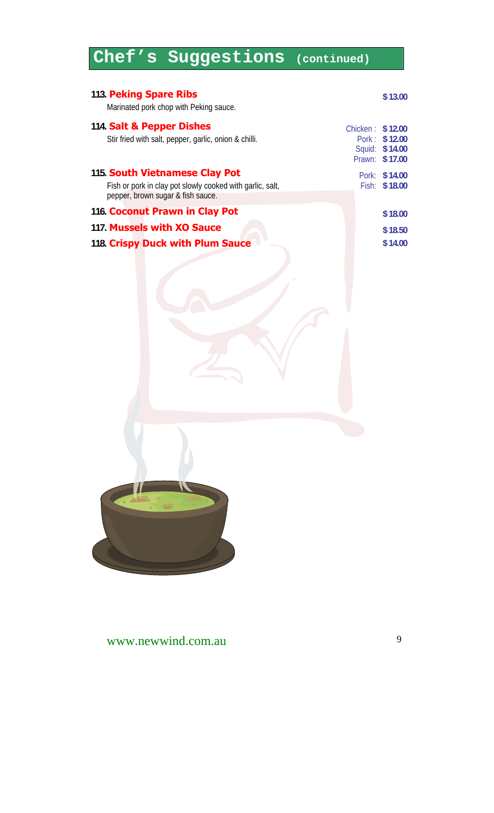# **Chef's Suggestions (continued)**

| 113. Peking Spare Ribs<br>Marinated pork chop with Peking sauce.                                                                 |                  | \$13.00                                           |
|----------------------------------------------------------------------------------------------------------------------------------|------------------|---------------------------------------------------|
| 114. Salt & Pepper Dishes<br>Stir fried with salt, pepper, garlic, onion & chilli.                                               | Chicken: \$12.00 | Pork: \$12.00<br>Squid: \$14.00<br>Prawn: \$17.00 |
| 115. South Vietnamese Clay Pot<br>Fish or pork in clay pot slowly cooked with garlic, salt,<br>pepper, brown sugar & fish sauce. |                  | Pork: \$14.00<br>Fish: \$18.00                    |
| 116. Coconut Prawn in Clay Pot                                                                                                   |                  | \$18.00                                           |
| 117. Mussels with XO Sauce                                                                                                       |                  | \$18.50                                           |
| 118. Crispy Duck with Plum Sauce                                                                                                 |                  | \$14.00                                           |
|                                                                                                                                  |                  |                                                   |
| $\overline{\phantom{a}}$                                                                                                         |                  |                                                   |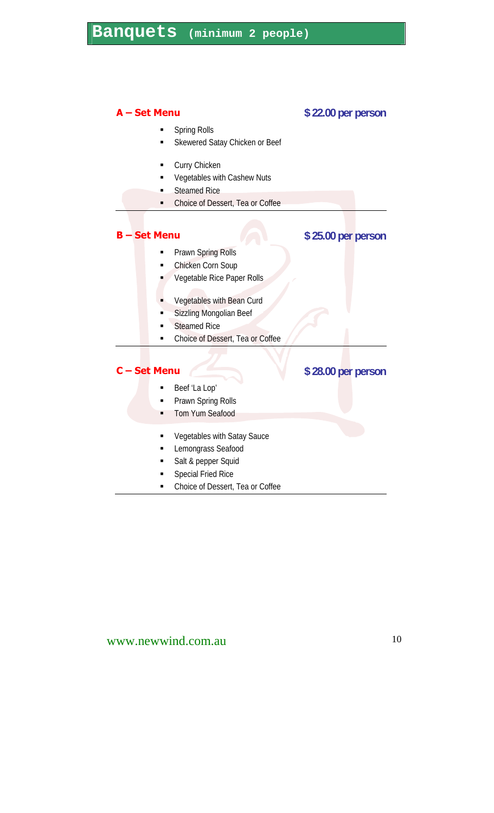#### **A – Set Menu \$ 22.00 per person**

- Spring Rolls
- Skewered Satay Chicken or Beef
- Curry Chicken
- Vegetables with Cashew Nuts
- Steamed Rice
- Choice of Dessert, Tea or Coffee

### **B** – Set Menu  $\sqrt{2}$  \$ 25.00 per person

- Prawn Spring Rolls
- Chicken Corn Soup Vegetable Rice Paper Rolls
- Vegetables with Bean Curd
- Sizzling Mongolian Beef
- Steamed Rice
- Choice of Dessert, Tea or Coffee

#### **C** – Set Menu **1988 1989 1989 1989 1989 1989 1989 1989 1989 1989 1989 1989 1989 1989 1989**

- Beef 'La Lop'
- Prawn Spring Rolls
- Tom Yum Seafood
- **Vegetables with Satay Sauce**
- Lemongrass Seafood
- Salt & pepper Squid
- Special Fried Rice
- Choice of Dessert, Tea or Coffee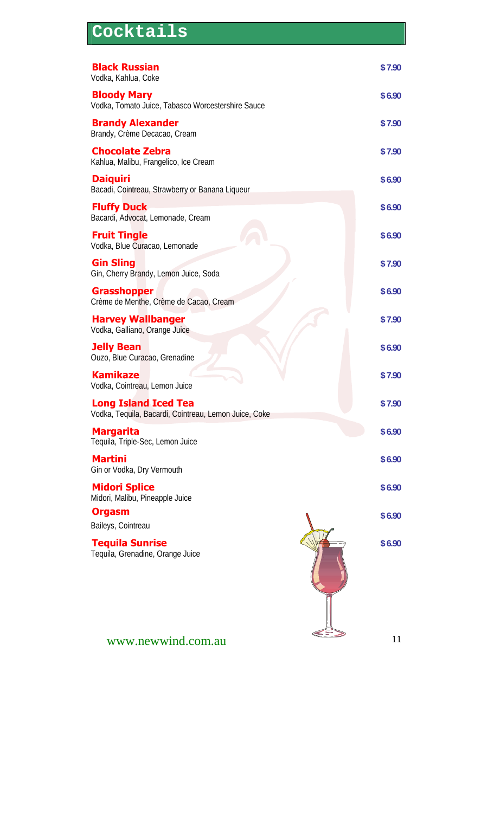| Cocktails                                                                            |        |
|--------------------------------------------------------------------------------------|--------|
| <b>Black Russian</b><br>Vodka, Kahlua, Coke                                          | \$7.90 |
| <b>Bloody Mary</b><br>Vodka, Tomato Juice, Tabasco Worcestershire Sauce              | \$6.90 |
| <b>Brandy Alexander</b><br>Brandy, Crème Decacao, Cream                              | \$7.90 |
| <b>Chocolate Zebra</b><br>Kahlua, Malibu, Frangelico, Ice Cream                      | \$7.90 |
| <b>Daiquiri</b><br>Bacadi, Cointreau, Strawberry or Banana Liqueur                   | \$6.90 |
| <b>Fluffy Duck</b><br>Bacardi, Advocat, Lemonade, Cream                              | \$6.90 |
| <b>Fruit Tingle</b><br>Vodka, Blue Curacao, Lemonade                                 | \$6.90 |
| <b>Gin Sling</b><br>Gin, Cherry Brandy, Lemon Juice, Soda                            | \$7.90 |
| <b>Grasshopper</b><br>Crème de Menthe, Crème de Cacao, Cream                         | \$6.90 |
| <b>Harvey Wallbanger</b><br>Vodka, Galliano, Orange Juice                            | \$7.90 |
| <b>Jelly Bean</b><br>Ouzo, Blue Curacao, Grenadine                                   | \$6.90 |
| <b>Kamikaze</b><br>Vodka, Cointreau, Lemon Juice                                     | \$7.90 |
| <b>Long Island Iced Tea</b><br>Vodka, Tequila, Bacardi, Cointreau, Lemon Juice, Coke | \$7.90 |
| <b>Margarita</b><br>Tequila, Triple-Sec, Lemon Juice                                 | \$6.90 |
| <b>Martini</b><br>Gin or Vodka, Dry Vermouth                                         | \$6.90 |
| <b>Midori Splice</b><br>Midori, Malibu, Pineapple Juice                              | \$6.90 |
| <b>Orgasm</b><br>Baileys, Cointreau                                                  | \$6.90 |
| <b>Tequila Sunrise</b><br>Tequila, Grenadine, Orange Juice                           | \$6.90 |
| www.newwind.com.au                                                                   | 11     |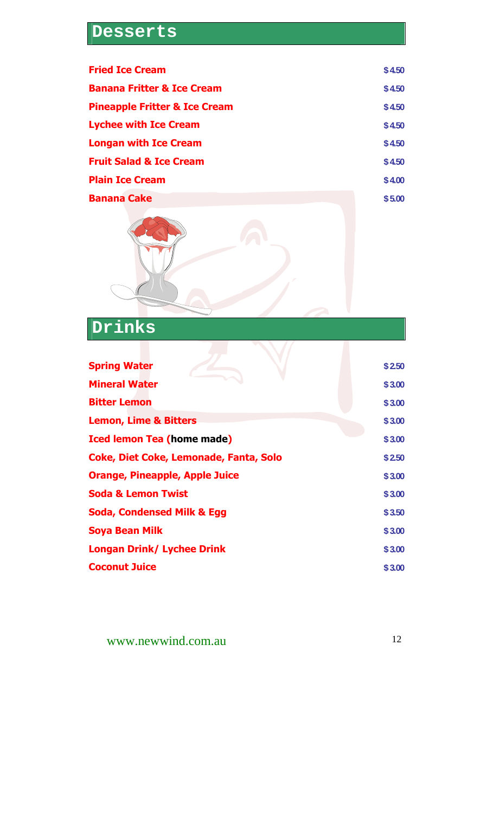### **Desserts**

| <b>Fried Ice Cream</b>                   | \$4.50 |
|------------------------------------------|--------|
| <b>Banana Fritter &amp; Ice Cream</b>    | \$4.50 |
| <b>Pineapple Fritter &amp; Ice Cream</b> | \$4.50 |
| <b>Lychee with Ice Cream</b>             | \$4.50 |
| <b>Longan with Ice Cream</b>             | \$4.50 |
| <b>Fruit Salad &amp; Ice Cream</b>       | \$4.50 |
| <b>Plain Ice Cream</b>                   | \$4.00 |
| <b>Banana Cake</b>                       | \$5.00 |



**Drinks** 

| <b>Spring Water</b>                           | \$2.50 |
|-----------------------------------------------|--------|
| <b>Mineral Water</b>                          | \$3.00 |
| <b>Bitter Lemon</b>                           | \$3.00 |
| <b>Lemon, Lime &amp; Bitters</b>              | \$3.00 |
| <b>Iced lemon Tea (home made)</b>             | \$3.00 |
| <b>Coke, Diet Coke, Lemonade, Fanta, Solo</b> | \$2.50 |
| <b>Orange, Pineapple, Apple Juice</b>         | \$3.00 |
| <b>Soda &amp; Lemon Twist</b>                 | \$3.00 |
| <b>Soda, Condensed Milk &amp; Egg</b>         | \$3.50 |
| Soya Bean Milk                                | \$3.00 |
| <b>Longan Drink/ Lychee Drink</b>             | \$3.00 |
| <b>Coconut Juice</b>                          | \$3.00 |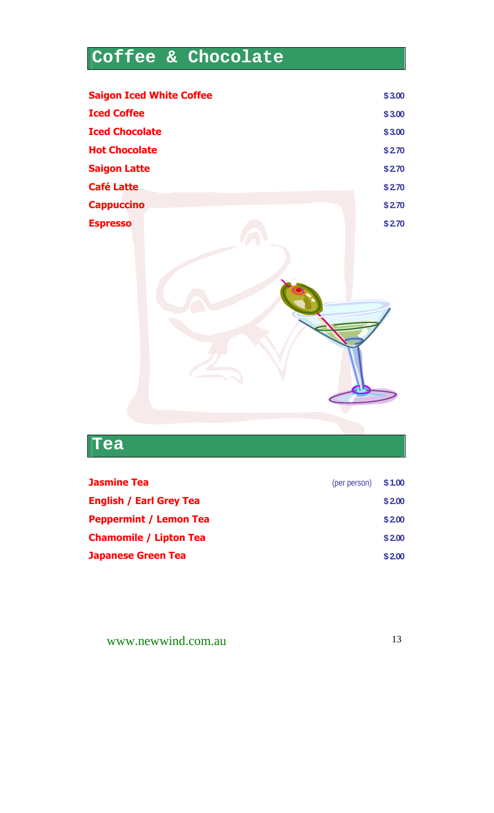# **Coffee & Chocolate**

|                       | <b>Saigon Iced White Coffee</b> | \$3.00 |
|-----------------------|---------------------------------|--------|
| <b>Iced Coffee</b>    |                                 | \$3.00 |
| <b>Iced Chocolate</b> |                                 | \$3.00 |
| <b>Hot Chocolate</b>  |                                 | \$2.70 |
| <b>Saigon Latte</b>   |                                 | \$2.70 |
| <b>Café Latte</b>     |                                 | \$2.70 |
| <b>Cappuccino</b>     |                                 | \$2.70 |
| <b>Espresso</b>       |                                 | \$2.70 |
|                       |                                 |        |

### **Tea**

| \$2.00                       |
|------------------------------|
| \$2.00                       |
| \$2.00                       |
| \$2.00                       |
| $(\text{per person})$ \$1.00 |